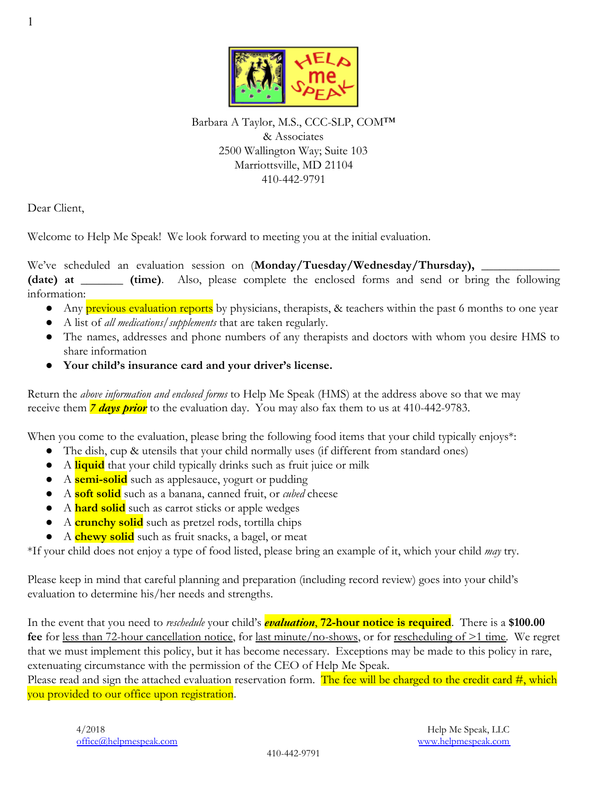

Barbara A Taylor, M.S., CCC-SLP, COM™ & Associates 2500 Wallington Way; Suite 103 Marriottsville, MD 21104 410-442-9791

Dear Client,

Welcome to Help Me Speak! We look forward to meeting you at the initial evaluation.

We've scheduled an evaluation session on (Monday/Tuesday/Wednesday/Thursday), \_\_\_\_ **(date) at \_\_\_\_\_\_\_ (time)**. Also, please complete the enclosed forms and send or bring the following information:

- Any previous evaluation reports by physicians, therapists, & teachers within the past 6 months to one year
- A list of *all medications/supplements* that are taken regularly.
- The names, addresses and phone numbers of any therapists and doctors with whom you desire HMS to share information
- **● Your child's insurance card and your driver's license.**

Return the *above information and enclosed forms* to Help Me Speak (HMS) at the address above so that we may receive them *7 days prior* to the evaluation day. You may also fax them to us at 410-442-9783.

When you come to the evaluation, please bring the following food items that your child typically enjoys\*:

- The dish, cup & utensils that your child normally uses (if different from standard ones)
- A **liquid** that your child typically drinks such as fruit juice or milk
- A **semi-solid** such as applesauce, yogurt or pudding
- A **soft solid** such as a banana, canned fruit, or *cubed* cheese
- A **hard solid** such as carrot sticks or apple wedges
- A **crunchy solid** such as pretzel rods, tortilla chips
- A **chewy solid** such as fruit snacks, a bagel, or meat

\*If your child does not enjoy a type of food listed, please bring an example of it, which your child *may* try.

Please keep in mind that careful planning and preparation (including record review) goes into your child's evaluation to determine his/her needs and strengths.

In the event that you need to *reschedule* your child's *evaluation*, **72-hour notice is required**. There is a **\$100.00 fee** for less than 72-hour cancellation notice, for last minute/no-shows, or for rescheduling of >1 time. We regret that we must implement this policy, but it has become necessary. Exceptions may be made to this policy in rare, extenuating circumstance with the permission of the CEO of Help Me Speak.

Please read and sign the attached evaluation reservation form. The fee will be charged to the credit card  $\#$ , which you provided to our office upon registration.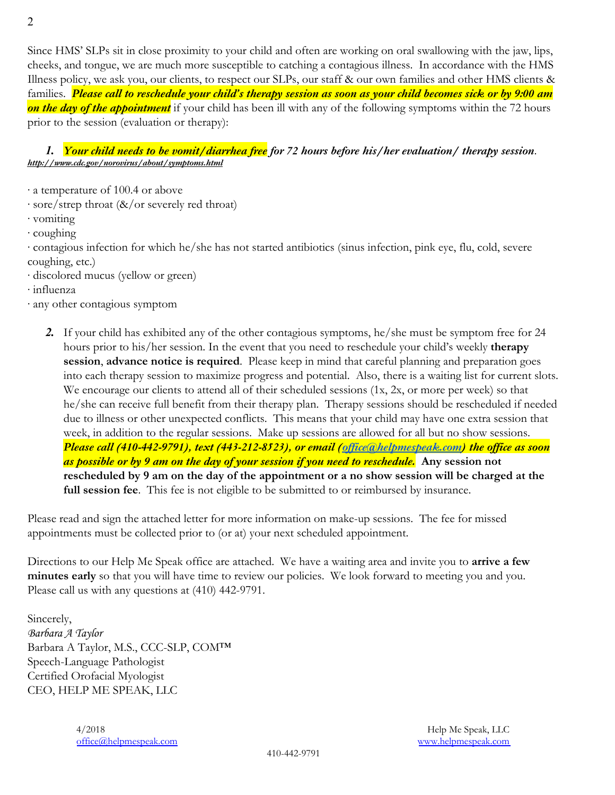Since HMS' SLPs sit in close proximity to your child and often are working on oral swallowing with the jaw, lips, cheeks, and tongue, we are much more susceptible to catching a contagious illness. In accordance with the HMS Illness policy, we ask you, our clients, to respect our SLPs, our staff & our own families and other HMS clients & families. *Please call to reschedule your child's therapy session as soon as your child becomes sick or by 9:00 am on the day of the appointment* if your child has been ill with any of the following symptoms within the 72 hours prior to the session (evaluation or therapy):

#### *1. Your child needs to be vomit/diarrhea free for 72 hours before his/her evaluation/ therapy session*. *http://www.cdc.gov/norovirus/about/symptoms.html*

∙ a temperature of 100.4 or above

- ∙ sore/strep throat (&/or severely red throat)
- ∙ vomiting
- ∙ coughing

∙ contagious infection for which he/she has not started antibiotics (sinus infection, pink eye, flu, cold, severe coughing, etc.)

- ∙ discolored mucus (yellow or green)
- ∙ influenza
- ∙ any other contagious symptom
	- *2.* If your child has exhibited any of the other contagious symptoms, he/she must be symptom free for 24 hours prior to his/her session. In the event that you need to reschedule your child's weekly **therapy session**, **advance notice is required**. Please keep in mind that careful planning and preparation goes into each therapy session to maximize progress and potential. Also, there is a waiting list for current slots. We encourage our clients to attend all of their scheduled sessions (1x, 2x, or more per week) so that he/she can receive full benefit from their therapy plan. Therapy sessions should be rescheduled if needed due to illness or other unexpected conflicts. This means that your child may have one extra session that week, in addition to the regular sessions. Make up sessions are allowed for all but no show sessions. *Please call (410-442-9791), text (443-212-8523), or email (office@helpmespeak.com) the office as soon as possible or by 9 am on the day of your session if you need to reschedule.* **Any session not rescheduled by 9 am on the day of the appointment or a no show session will be charged at the full session fee**. This fee is not eligible to be submitted to or reimbursed by insurance.

Please read and sign the attached letter for more information on make-up sessions. The fee for missed appointments must be collected prior to (or at) your next scheduled appointment.

Directions to our Help Me Speak office are attached. We have a waiting area and invite you to **arrive a few minutes early** so that you will have time to review our policies. We look forward to meeting you and you. Please call us with any questions at (410) 442-9791.

Sincerely, Barbara A Taylor Barbara A Taylor, M.S., CCC-SLP, COM™ Speech-Language Pathologist Certified Orofacial Myologist CEO, HELP ME SPEAK, LLC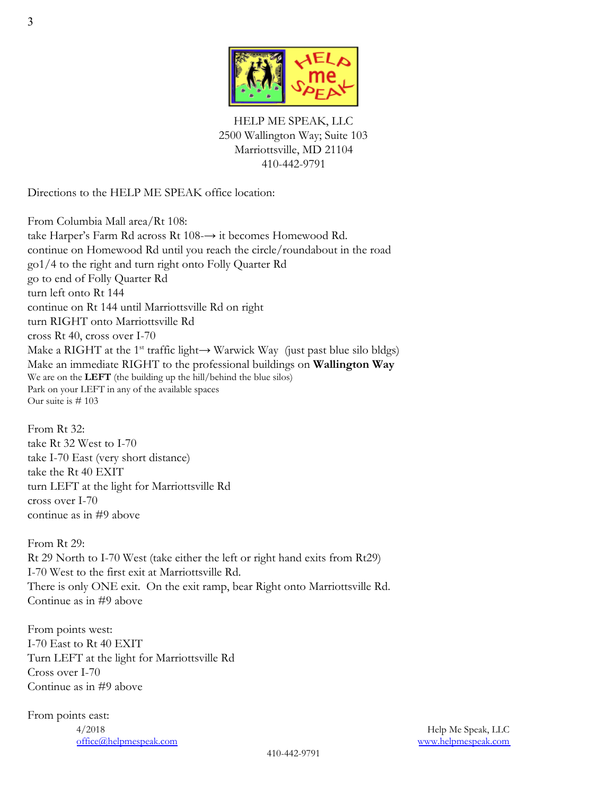

HELP ME SPEAK, LLC 2500 Wallington Way; Suite 103 Marriottsville, MD 21104 410-442-9791

Directions to the HELP ME SPEAK office location:

From Columbia Mall area/Rt 108: take Harper's Farm Rd across Rt 108-→ it becomes Homewood Rd. continue on Homewood Rd until you reach the circle/roundabout in the road go1/4 to the right and turn right onto Folly Quarter Rd go to end of Folly Quarter Rd turn left onto Rt 144 continue on Rt 144 until Marriottsville Rd on right turn RIGHT onto Marriottsville Rd cross Rt 40, cross over I-70 Make a RIGHT at the 1<sup>st</sup> traffic light $\rightarrow$  Warwick Way (just past blue silo bldgs) Make an immediate RIGHT to the professional buildings on **Wallington Way** We are on the **LEFT** (the building up the hill/behind the blue silos) Park on your LEFT in any of the available spaces Our suite is # 103

From Rt 32: take Rt 32 West to I-70 take I-70 East (very short distance) take the Rt 40 EXIT turn LEFT at the light for Marriottsville Rd cross over I-70 continue as in #9 above

From Rt 29: Rt 29 North to I-70 West (take either the left or right hand exits from Rt29) I-70 West to the first exit at Marriottsville Rd. There is only ONE exit. On the exit ramp, bear Right onto Marriottsville Rd. Continue as in #9 above

From points west: I-70 East to Rt 40 EXIT Turn LEFT at the light for Marriottsville Rd Cross over I-70 Continue as in #9 above

From points east: 4/2018 Help Me Speak, LLC office@helpmespeak.com www.helpmespeak.com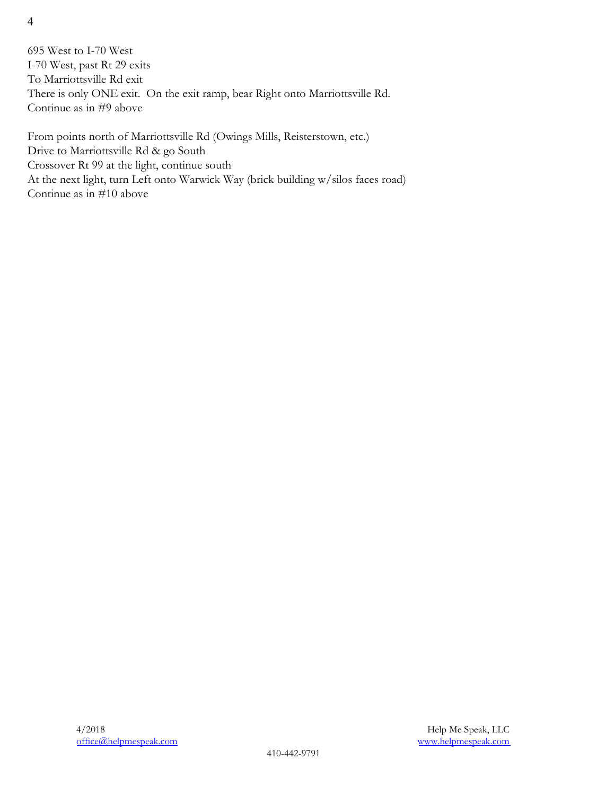4

695 West to I-70 West I-70 West, past Rt 29 exits To Marriottsville Rd exit There is only ONE exit. On the exit ramp, bear Right onto Marriottsville Rd. Continue as in #9 above

From points north of Marriottsville Rd (Owings Mills, Reisterstown, etc.) Drive to Marriottsville Rd & go South Crossover Rt 99 at the light, continue south At the next light, turn Left onto Warwick Way (brick building w/silos faces road) Continue as in #10 above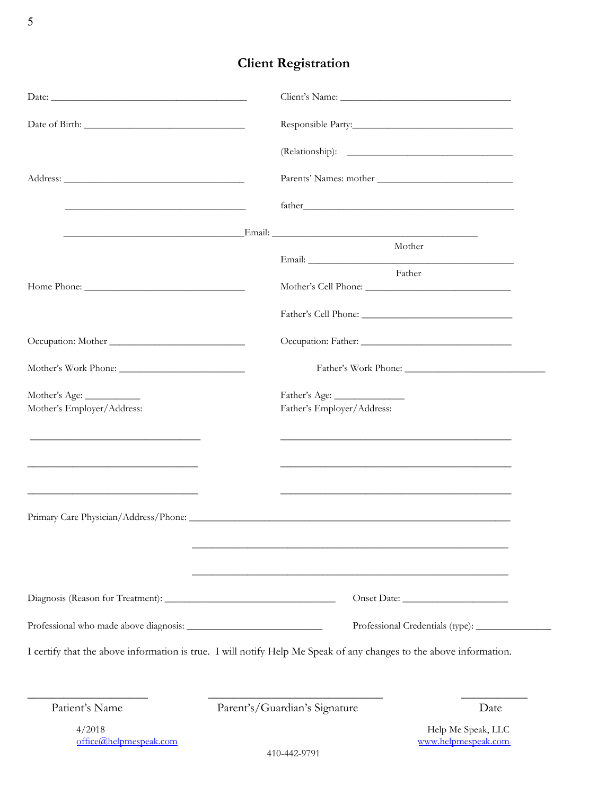# **Client Registration**

|                                                                                                                       |  |                                             | Parents' Names: mother                                              |  |  |
|-----------------------------------------------------------------------------------------------------------------------|--|---------------------------------------------|---------------------------------------------------------------------|--|--|
| <u> 1989 - Johann Barnett, fransk politiker (d. 1989)</u>                                                             |  |                                             |                                                                     |  |  |
|                                                                                                                       |  |                                             | Mother                                                              |  |  |
|                                                                                                                       |  |                                             | Father                                                              |  |  |
|                                                                                                                       |  |                                             |                                                                     |  |  |
|                                                                                                                       |  |                                             |                                                                     |  |  |
| Occupation: Mother                                                                                                    |  |                                             |                                                                     |  |  |
|                                                                                                                       |  |                                             |                                                                     |  |  |
| Mother's Age:<br>Mother's Employer/Address:                                                                           |  | Father's Age:<br>Father's Employer/Address: |                                                                     |  |  |
| <u> 1989 - Johann John Stein, markin fan it ferskearre fan it ferskearre fan it ferskearre fan it ferskearre fan </u> |  |                                             | <u> 1989 - Johann John Stone, mars and deutscher Stone († 1989)</u> |  |  |
|                                                                                                                       |  |                                             |                                                                     |  |  |
| <u> 1989 - Johann Barbara, martin da kasar Amerikaansk politik (</u>                                                  |  |                                             |                                                                     |  |  |
|                                                                                                                       |  |                                             |                                                                     |  |  |
|                                                                                                                       |  |                                             |                                                                     |  |  |
|                                                                                                                       |  |                                             |                                                                     |  |  |
| I certify that the above information is true. I will notify Help Me Speak of any changes to the above information.    |  |                                             |                                                                     |  |  |
| Patient's Name                                                                                                        |  | Parent's/Guardian's Signature               | Date                                                                |  |  |
| 4/2018                                                                                                                |  |                                             | Help Me Speak, LLC                                                  |  |  |
| office@helpmespeak.com                                                                                                |  | 410-442-9791                                | www.helpmespeak.com                                                 |  |  |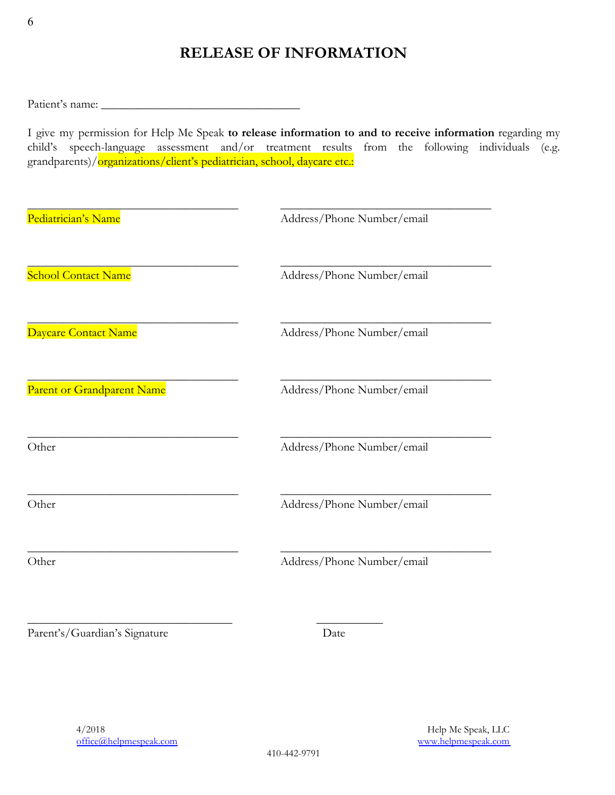# **RELEASE OF INFORMATION**

Patient's name: \_\_\_\_\_\_\_\_\_\_\_\_\_\_\_\_\_\_\_\_\_\_\_\_\_\_\_\_\_\_\_\_\_

I give my permission for Help Me Speak **to release information to and to receive information** regarding my child's speech-language assessment and/or treatment results from the following individuals (e.g. grandparents)/organizations/client's pediatrician, school, daycare etc.:

| Pediatrician's Name        | Address/Phone Number/email |
|----------------------------|----------------------------|
| <b>School Contact Name</b> | Address/Phone Number/email |
| Daycare Contact Name       | Address/Phone Number/email |
| Parent or Grandparent Name | Address/Phone Number/email |
| Other                      | Address/Phone Number/email |
| Other                      | Address/Phone Number/email |
| Other                      | Address/Phone Number/email |

\_\_\_\_\_\_\_\_\_\_\_\_\_\_\_\_\_\_\_\_\_\_\_\_\_\_\_\_\_\_\_\_\_\_ \_\_\_\_\_\_\_\_\_\_\_

Parent's/Guardian's Signature Date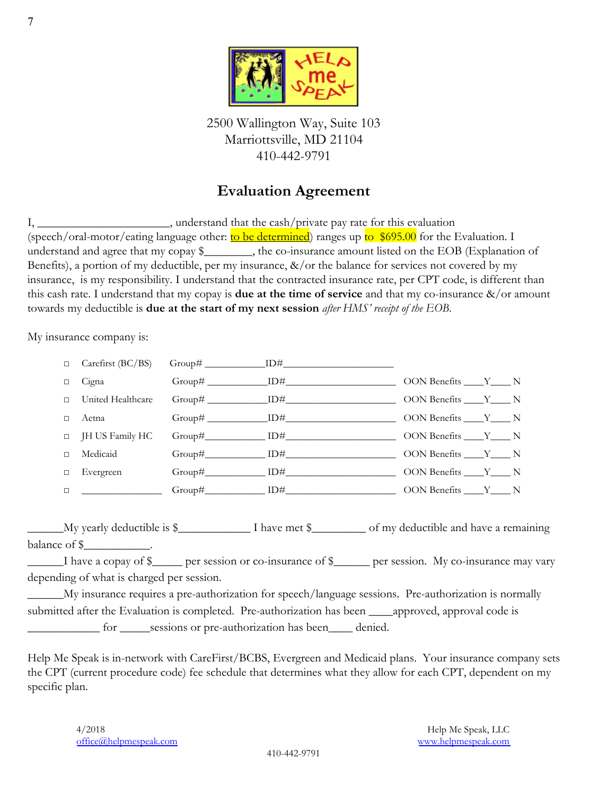

2500 Wallington Way, Suite 103 Marriottsville, MD 21104 410-442-9791

#### **Evaluation Agreement**

I, \_\_\_\_\_\_\_\_\_\_\_\_\_\_\_\_\_\_\_\_\_\_\_, understand that the cash/private pay rate for this evaluation (speech/oral-motor/eating language other:  $\frac{\text{to be determined}}{\text{atremined}}$ ) ranges up to \$695.00 for the Evaluation. I understand and agree that my copay \$\_\_\_\_\_\_\_, the co-insurance amount listed on the EOB (Explanation of Benefits), a portion of my deductible, per my insurance,  $\&/$  or the balance for services not covered by my insurance, is my responsibility. I understand that the contracted insurance rate, per CPT code, is different than this cash rate. I understand that my copay is **due at the time of service** and that my co-insurance &/or amount towards my deductible is **due at the start of my next session** *after HMS' receipt of the EOB*.

My insurance company is:

| □      | Carefirst (BC/BS)                         | $Group\#\_{}$ $ID\#\_{}$                                                                                 |  |  |
|--------|-------------------------------------------|----------------------------------------------------------------------------------------------------------|--|--|
| $\Box$ | Cigna                                     |                                                                                                          |  |  |
| $\Box$ | United Healthcare                         |                                                                                                          |  |  |
| $\Box$ | Aetna                                     |                                                                                                          |  |  |
| $\Box$ | JH US Family HC                           |                                                                                                          |  |  |
| $\Box$ | Medicaid                                  |                                                                                                          |  |  |
| □      | Evergreen                                 |                                                                                                          |  |  |
| $\Box$ |                                           | $Group\#$ $ID\#$ $ID\#$ $ODN$ Benefits $Y$ N                                                             |  |  |
|        |                                           |                                                                                                          |  |  |
|        |                                           |                                                                                                          |  |  |
|        | balance of $\frac{1}{2}$ .                |                                                                                                          |  |  |
|        |                                           | I have a copay of \$ _____ per session or co-insurance of \$ _____ per session. My co-insurance may vary |  |  |
|        | depending of what is charged per session. |                                                                                                          |  |  |
|        |                                           | My insurance requires a pre-authorization for speech/language sessions. Pre-authorization is normally    |  |  |
|        |                                           | submitted after the Evaluation is completed. Pre-authorization has been _____approved, approval code is  |  |  |
|        |                                           | for ______sessions or pre-authorization has been______ denied.                                           |  |  |

Help Me Speak is in-network with CareFirst/BCBS, Evergreen and Medicaid plans. Your insurance company sets the CPT (current procedure code) fee schedule that determines what they allow for each CPT, dependent on my specific plan.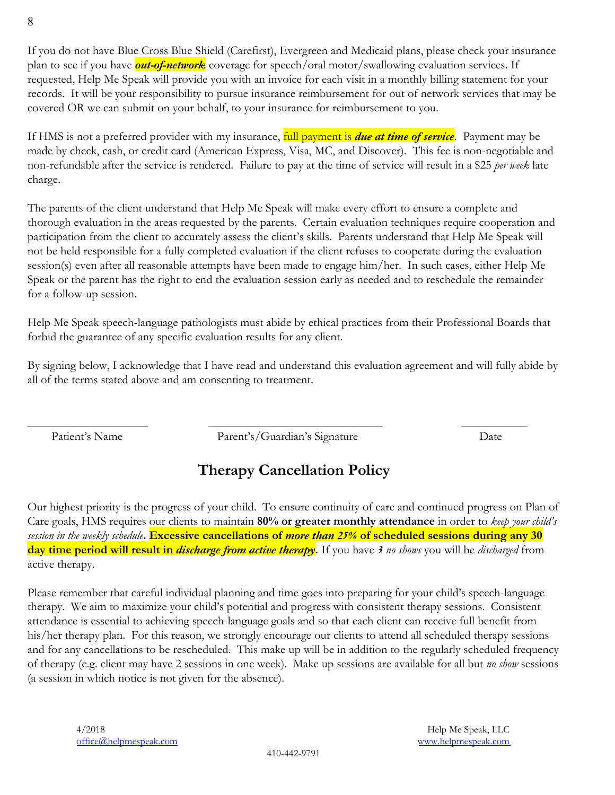If you do not have Blue Cross Blue Shield (Carefirst), Evergreen and Medicaid plans, please check your insurance plan to see if you have *out-of-network* coverage for speech/oral motor/swallowing evaluation services. If requested, Help Me Speak will provide you with an invoice for each visit in a monthly billing statement for your records. It will be your responsibility to pursue insurance reimbursement for out of network services that may be covered OR we can submit on your behalf, to your insurance for reimbursement to you.

If HMS is not a preferred provider with my insurance, full payment is *due at time of service*. Payment may be made by check, cash, or credit card (American Express, Visa, MC, and Discover). This fee is non-negotiable and non-refundable after the service is rendered. Failure to pay at the time of service will result in a \$25 *per week* late charge.

The parents of the client understand that Help Me Speak will make every effort to ensure a complete and thorough evaluation in the areas requested by the parents. Certain evaluation techniques require cooperation and participation from the client to accurately assess the client's skills. Parents understand that Help Me Speak will not be held responsible for a fully completed evaluation if the client refuses to cooperate during the evaluation session(s) even after all reasonable attempts have been made to engage him/her. In such cases, either Help Me Speak or the parent has the right to end the evaluation session early as needed and to reschedule the remainder for a follow-up session.

Help Me Speak speech-language pathologists must abide by ethical practices from their Professional Boards that forbid the guarantee of any specific evaluation results for any client.

By signing below, I acknowledge that I have read and understand this evaluation agreement and will fully abide by all of the terms stated above and am consenting to treatment.

Patient's Name Parent's/Guardian's Signature Date

\_\_\_\_\_\_\_\_\_\_\_\_\_\_\_\_\_\_\_\_ \_\_\_\_\_\_\_\_\_\_\_\_\_\_\_\_\_\_\_\_\_\_\_\_\_\_\_\_\_ \_\_\_\_\_\_\_\_\_\_\_

# **Therapy Cancellation Policy**

Our highest priority is the progress of your child. To ensure continuity of care and continued progress on Plan of Care goals, HMS requires our clients to maintain **80% or greater monthly attendance** in order to *keep your child's session in the weekly schedule***. Excessive cancellations of** *more than 25%* **of scheduled sessions during any 30 day time period will result in** *discharge from active therapy***.** If you have *3 no shows* you will be *discharged* from active therapy.

Please remember that careful individual planning and time goes into preparing for your child's speech-language therapy. We aim to maximize your child's potential and progress with consistent therapy sessions. Consistent attendance is essential to achieving speech-language goals and so that each client can receive full benefit from his/her therapy plan. For this reason, we strongly encourage our clients to attend all scheduled therapy sessions and for any cancellations to be rescheduled. This make up will be in addition to the regularly scheduled frequency of therapy (e.g. client may have 2 sessions in one week). Make up sessions are available for all but *no show* sessions (a session in which notice is not given for the absence).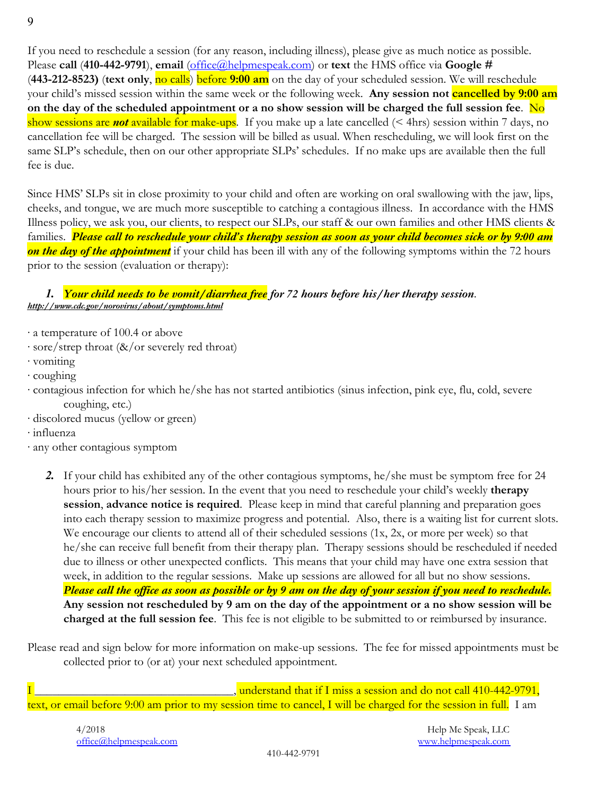If you need to reschedule a session (for any reason, including illness), please give as much notice as possible. Please **call** (**410-442-9791**), **email** (office@helpmespeak.com) or **text** the HMS office via **Google #** (**443-212-8523)** (**text only**, no calls) before **9:00 am** on the day of your scheduled session. We will reschedule your child's missed session within the same week or the following week. **Any session not cancelled by 9:00 am on the day of the scheduled appointment or a no show session will be charged the full session fee**. No show sessions are *not* available for make-ups. If you make up a late cancelled (< 4hrs) session within 7 days, no cancellation fee will be charged. The session will be billed as usual. When rescheduling, we will look first on the same SLP's schedule, then on our other appropriate SLPs' schedules. If no make ups are available then the full fee is due.

Since HMS' SLPs sit in close proximity to your child and often are working on oral swallowing with the jaw, lips, cheeks, and tongue, we are much more susceptible to catching a contagious illness. In accordance with the HMS Illness policy, we ask you, our clients, to respect our SLPs, our staff & our own families and other HMS clients & families. *Please call to reschedule your child's therapy session as soon as your child becomes sick or by 9:00 am on the day of the appointment* if your child has been ill with any of the following symptoms within the 72 hours prior to the session (evaluation or therapy):

#### *1. Your child needs to be vomit/diarrhea free for 72 hours before his/her therapy session*. *http://www.cdc.gov/norovirus/about/symptoms.html*

- ∙ a temperature of 100.4 or above
- ∙ sore/strep throat (&/or severely red throat)
- ∙ vomiting
- ∙ coughing
- ∙ contagious infection for which he/she has not started antibiotics (sinus infection, pink eye, flu, cold, severe coughing, etc.)
- ∙ discolored mucus (yellow or green)
- ∙ influenza
- ∙ any other contagious symptom
	- *2.* If your child has exhibited any of the other contagious symptoms, he/she must be symptom free for 24 hours prior to his/her session. In the event that you need to reschedule your child's weekly **therapy session**, **advance notice is required**. Please keep in mind that careful planning and preparation goes into each therapy session to maximize progress and potential. Also, there is a waiting list for current slots. We encourage our clients to attend all of their scheduled sessions (1x, 2x, or more per week) so that he/she can receive full benefit from their therapy plan. Therapy sessions should be rescheduled if needed due to illness or other unexpected conflicts. This means that your child may have one extra session that week, in addition to the regular sessions. Make up sessions are allowed for all but no show sessions. *Please call the office as soon as possible or by 9 am on the day of your session if you need to reschedule.* **Any session not rescheduled by 9 am on the day of the appointment or a no show session will be charged at the full session fee**. This fee is not eligible to be submitted to or reimbursed by insurance.

Please read and sign below for more information on make-up sessions. The fee for missed appointments must be collected prior to (or at) your next scheduled appointment.

I \_\_\_\_\_\_\_\_\_\_\_\_\_\_\_\_\_\_\_\_\_\_\_\_\_\_\_\_\_\_\_\_\_, understand that if I miss a session and do not call 410-442-9791, text, or email before 9:00 am prior to my session time to cancel, I will be charged for the session in full. I am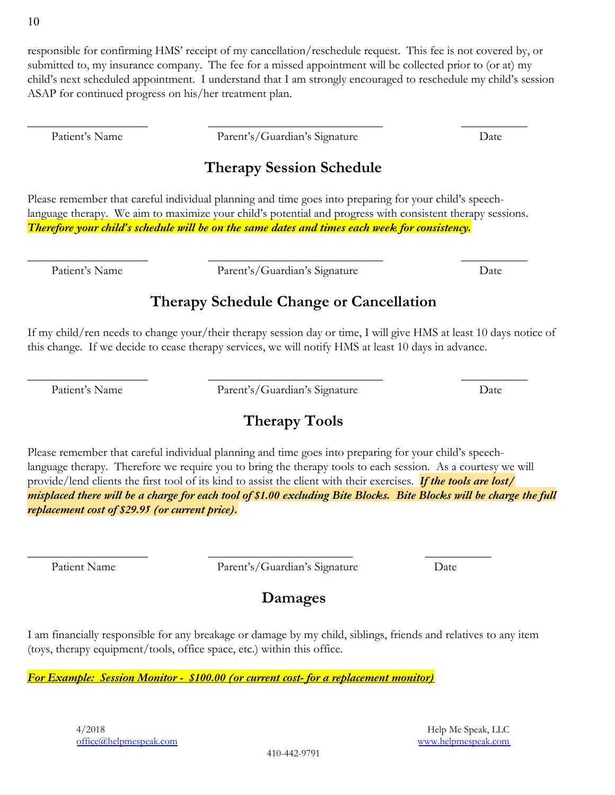responsible for confirming HMS' receipt of my cancellation/reschedule request. This fee is not covered by, or submitted to, my insurance company. The fee for a missed appointment will be collected prior to (or at) my child's next scheduled appointment. I understand that I am strongly encouraged to reschedule my child's session ASAP for continued progress on his/her treatment plan.

Patient's Name Parent's/Guardian's Signature Date

\_\_\_\_\_\_\_\_\_\_\_\_\_\_\_\_\_\_\_\_ \_\_\_\_\_\_\_\_\_\_\_\_\_\_\_\_\_\_\_\_\_\_\_\_\_\_\_\_\_ \_\_\_\_\_\_\_\_\_\_\_

## **Therapy Session Schedule**

Please remember that careful individual planning and time goes into preparing for your child's speechlanguage therapy. We aim to maximize your child's potential and progress with consistent therapy sessions. *Therefore your child's schedule will be on the same dates and times each week for consistency.*

\_\_\_\_\_\_\_\_\_\_\_\_\_\_\_\_\_\_\_\_ \_\_\_\_\_\_\_\_\_\_\_\_\_\_\_\_\_\_\_\_\_\_\_\_\_\_\_\_\_ \_\_\_\_\_\_\_\_\_\_\_

Patient's Name Parent's/Guardian's Signature Date

## **Therapy Schedule Change or Cancellation**

If my child/ren needs to change your/their therapy session day or time, I will give HMS at least 10 days notice of this change. If we decide to cease therapy services, we will notify HMS at least 10 days in advance.

Patient's Name Parent's/Guardian's Signature Date

\_\_\_\_\_\_\_\_\_\_\_\_\_\_\_\_\_\_\_\_ \_\_\_\_\_\_\_\_\_\_\_\_\_\_\_\_\_\_\_\_\_\_\_\_\_\_\_\_\_ \_\_\_\_\_\_\_\_\_\_\_

# **Therapy Tools**

Please remember that careful individual planning and time goes into preparing for your child's speechlanguage therapy. Therefore we require you to bring the therapy tools to each session. As a courtesy we will provide/lend clients the first tool of its kind to assist the client with their exercises. *If the tools are lost/ misplaced there will be a charge for each tool of \$1.00 excluding Bite Blocks. Bite Blocks will be charge the full replacement cost of \$29.95 (or current price).*

\_\_\_\_\_\_\_\_\_\_\_\_\_\_\_\_\_\_\_\_ \_\_\_\_\_\_\_\_\_\_\_\_\_\_\_\_\_\_\_\_\_\_\_\_ \_\_\_\_\_\_\_\_\_\_\_ Patient Name Parent's/Guardian's Signature Date

## **Damages**

I am financially responsible for any breakage or damage by my child, siblings, friends and relatives to any item (toys, therapy equipment/tools, office space, etc.) within this office.

*For Example: Session Monitor - \$100.00 (or current cost- for a replacement monitor)*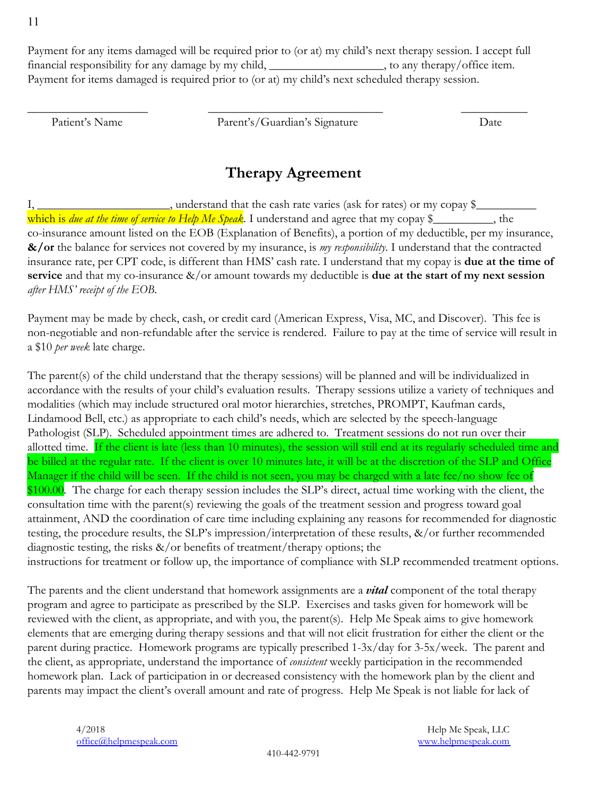11

Payment for any items damaged will be required prior to (or at) my child's next therapy session. I accept full financial responsibility for any damage by my child, \_\_\_\_\_\_\_\_\_\_\_\_\_\_\_\_, to any therapy/office item. Payment for items damaged is required prior to (or at) my child's next scheduled therapy session.

Patient's Name Parent's/Guardian's Signature Date

\_\_\_\_\_\_\_\_\_\_\_\_\_\_\_\_\_\_\_\_ \_\_\_\_\_\_\_\_\_\_\_\_\_\_\_\_\_\_\_\_\_\_\_\_\_\_\_\_\_ \_\_\_\_\_\_\_\_\_\_\_

#### **Therapy Agreement**

I, \_\_\_\_\_\_\_\_\_\_\_\_\_\_\_\_\_\_\_\_\_\_, understand that the cash rate varies (ask for rates) or my copay \$\_\_\_\_\_\_\_\_\_\_ which is *due at the time of service to Help Me Speak*. I understand and agree that my copay \$\_\_\_\_\_\_\_\_, the co-insurance amount listed on the EOB (Explanation of Benefits), a portion of my deductible, per my insurance, **&/or** the balance for services not covered by my insurance, is *my responsibility*. I understand that the contracted insurance rate, per CPT code, is different than HMS' cash rate. I understand that my copay is **due at the time of service** and that my co-insurance &/or amount towards my deductible is **due at the start of my next session** *after HMS' receipt of the EOB*.

Payment may be made by check, cash, or credit card (American Express, Visa, MC, and Discover). This fee is non-negotiable and non-refundable after the service is rendered. Failure to pay at the time of service will result in a \$10 *per week* late charge.

The parent(s) of the child understand that the therapy sessions) will be planned and will be individualized in accordance with the results of your child's evaluation results. Therapy sessions utilize a variety of techniques and modalities (which may include structured oral motor hierarchies, stretches, PROMPT, Kaufman cards, Lindamood Bell, etc.) as appropriate to each child's needs, which are selected by the speech-language Pathologist (SLP). Scheduled appointment times are adhered to. Treatment sessions do not run over their allotted time. If the client is late (less than 10 minutes), the session will still end at its regularly scheduled time and be billed at the regular rate. If the client is over 10 minutes late, it will be at the discretion of the SLP and Office Manager if the child will be seen. If the child is not seen, you may be charged with a late fee/no show fee of \$100.00. The charge for each therapy session includes the SLP's direct, actual time working with the client, the consultation time with the parent(s) reviewing the goals of the treatment session and progress toward goal attainment, AND the coordination of care time including explaining any reasons for recommended for diagnostic testing, the procedure results, the SLP's impression/interpretation of these results, &/or further recommended diagnostic testing, the risks  $\&/$  or benefits of treatment/therapy options; the instructions for treatment or follow up, the importance of compliance with SLP recommended treatment options.

The parents and the client understand that homework assignments are a *vital* component of the total therapy program and agree to participate as prescribed by the SLP. Exercises and tasks given for homework will be reviewed with the client, as appropriate, and with you, the parent(s). Help Me Speak aims to give homework elements that are emerging during therapy sessions and that will not elicit frustration for either the client or the parent during practice. Homework programs are typically prescribed 1-3x/day for 3-5x/week. The parent and the client, as appropriate, understand the importance of *consistent* weekly participation in the recommended homework plan. Lack of participation in or decreased consistency with the homework plan by the client and parents may impact the client's overall amount and rate of progress. Help Me Speak is not liable for lack of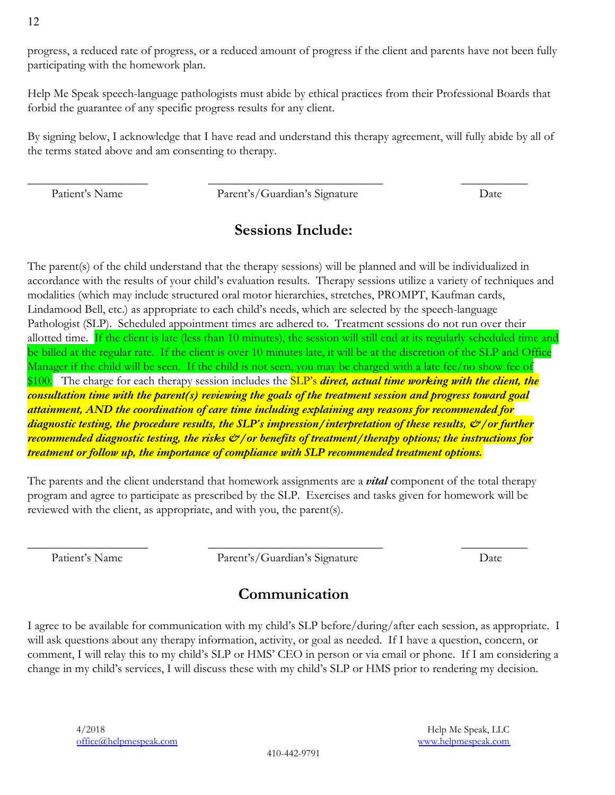progress, a reduced rate of progress, or a reduced amount of progress if the client and parents have not been fully participating with the homework plan.

Help Me Speak speech-language pathologists must abide by ethical practices from their Professional Boards that forbid the guarantee of any specific progress results for any client.

By signing below, I acknowledge that I have read and understand this therapy agreement, will fully abide by all of the terms stated above and am consenting to therapy.

Patient's Name Parent's/Guardian's Signature Date

\_\_\_\_\_\_\_\_\_\_\_\_\_\_\_\_\_\_\_\_ \_\_\_\_\_\_\_\_\_\_\_\_\_\_\_\_\_\_\_\_\_\_\_\_\_\_\_\_\_ \_\_\_\_\_\_\_\_\_\_\_

#### **Sessions Include:**

The parent(s) of the child understand that the therapy sessions) will be planned and will be individualized in accordance with the results of your child's evaluation results. Therapy sessions utilize a variety of techniques and modalities (which may include structured oral motor hierarchies, stretches, PROMPT, Kaufman cards, Lindamood Bell, etc.) as appropriate to each child's needs, which are selected by the speech-language Pathologist (SLP). Scheduled appointment times are adhered to. Treatment sessions do not run over their allotted time. If the client is late (less than 10 minutes), the session will still end at its regularly scheduled time and be billed at the regular rate. If the client is over 10 minutes late, it will be at the discretion of the SLP and Office Manager if the child will be seen. If the child is not seen, you may be charged with a late fee/no show fee of \$100. The charge for each therapy session includes the SLP's *direct, actual time working with the client, the consultation time with the parent(s) reviewing the goals of the treatment session and progress toward goal attainment, AND the coordination of care time including explaining any reasons for recommended for diagnostic testing, the procedure results, the SLP's impression/interpretation of these results, &/or further recommended diagnostic testing, the risks*  $\mathcal{O}/\text{or}$  *benefits of treatment/therapy options; the instructions for treatment or follow up, the importance of compliance with SLP recommended treatment options.*

The parents and the client understand that homework assignments are a *vital* component of the total therapy program and agree to participate as prescribed by the SLP. Exercises and tasks given for homework will be reviewed with the client, as appropriate, and with you, the parent(s).

Patient's Name Parent's/Guardian's Signature Date

\_\_\_\_\_\_\_\_\_\_\_\_\_\_\_\_\_\_\_\_ \_\_\_\_\_\_\_\_\_\_\_\_\_\_\_\_\_\_\_\_\_\_\_\_\_\_\_\_\_ \_\_\_\_\_\_\_\_\_\_\_

#### **Communication**

I agree to be available for communication with my child's SLP before/during/after each session, as appropriate. I will ask questions about any therapy information, activity, or goal as needed. If I have a question, concern, or comment, I will relay this to my child's SLP or HMS' CEO in person or via email or phone. If I am considering a change in my child's services, I will discuss these with my child's SLP or HMS prior to rendering my decision.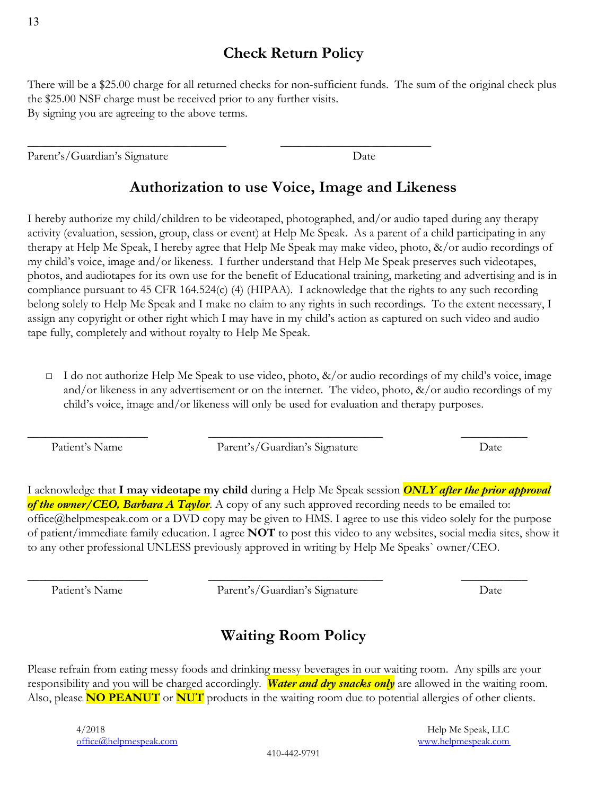#### **Check Return Policy**

There will be a \$25.00 charge for all returned checks for non-sufficient funds. The sum of the original check plus the \$25.00 NSF charge must be received prior to any further visits. By signing you are agreeing to the above terms.

\_\_\_\_\_\_\_\_\_\_\_\_\_\_\_\_\_\_\_\_\_\_\_\_\_\_\_\_\_\_\_\_\_ \_\_\_\_\_\_\_\_\_\_\_\_\_\_\_\_\_\_\_\_\_\_\_\_\_

Parent's/Guardian's Signature Date

## **Authorization to use Voice, Image and Likeness**

I hereby authorize my child/children to be videotaped, photographed, and/or audio taped during any therapy activity (evaluation, session, group, class or event) at Help Me Speak. As a parent of a child participating in any therapy at Help Me Speak, I hereby agree that Help Me Speak may make video, photo, &/or audio recordings of my child's voice, image and/or likeness. I further understand that Help Me Speak preserves such videotapes, photos, and audiotapes for its own use for the benefit of Educational training, marketing and advertising and is in compliance pursuant to 45 CFR 164.524(c) (4) (HIPAA). I acknowledge that the rights to any such recording belong solely to Help Me Speak and I make no claim to any rights in such recordings. To the extent necessary, I assign any copyright or other right which I may have in my child's action as captured on such video and audio tape fully, completely and without royalty to Help Me Speak.

 $\Box$  I do not authorize Help Me Speak to use video, photo,  $\&/$  or audio recordings of my child's voice, image and/or likeness in any advertisement or on the internet. The video, photo,  $\&/$  or audio recordings of my child's voice, image and/or likeness will only be used for evaluation and therapy purposes.

Patient's Name Parent's/Guardian's Signature Date

\_\_\_\_\_\_\_\_\_\_\_\_\_\_\_\_\_\_\_\_ \_\_\_\_\_\_\_\_\_\_\_\_\_\_\_\_\_\_\_\_\_\_\_\_\_\_\_\_\_ \_\_\_\_\_\_\_\_\_\_\_

I acknowledge that **I may videotape my child** during a Help Me Speak session *ONLY after the prior approval* of the owner/CEO, Barbara A Taylor. A copy of any such approved recording needs to be emailed to: office@helpmespeak.com or a DVD copy may be given to HMS. I agree to use this video solely for the purpose of patient/immediate family education. I agree **NOT** to post this video to any websites, social media sites, show it to any other professional UNLESS previously approved in writing by Help Me Speaks` owner/CEO.

Patient's Name Parent's/Guardian's Signature Date

\_\_\_\_\_\_\_\_\_\_\_\_\_\_\_\_\_\_\_\_ \_\_\_\_\_\_\_\_\_\_\_\_\_\_\_\_\_\_\_\_\_\_\_\_\_\_\_\_\_ \_\_\_\_\_\_\_\_\_\_\_

# **Waiting Room Policy**

Please refrain from eating messy foods and drinking messy beverages in our waiting room. Any spills are your responsibility and you will be charged accordingly. *Water and dry snacks only* are allowed in the waiting room. Also, please **NO PEANUT** or **NUT** products in the waiting room due to potential allergies of other clients.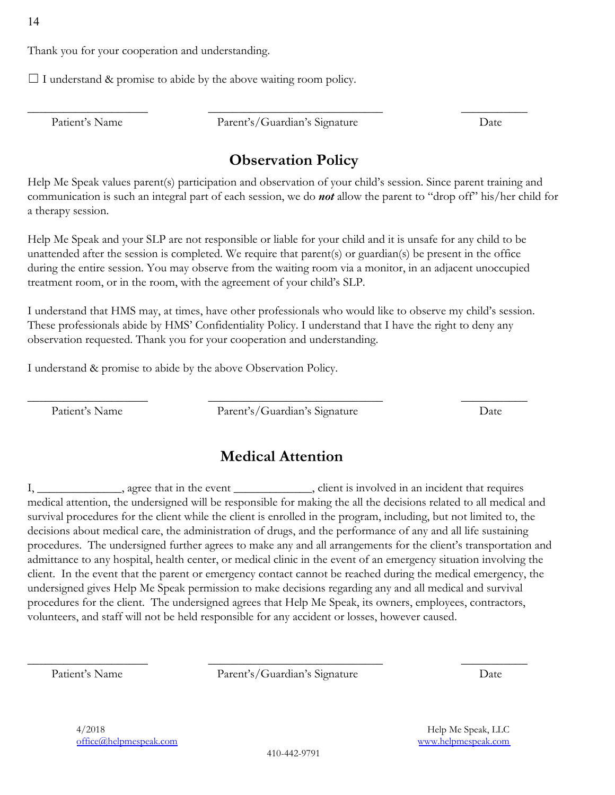Thank you for your cooperation and understanding.

 $\Box$  I understand & promise to abide by the above waiting room policy.

Patient's Name Parent's/Guardian's Signature Date

\_\_\_\_\_\_\_\_\_\_\_\_\_\_\_\_\_\_\_\_ \_\_\_\_\_\_\_\_\_\_\_\_\_\_\_\_\_\_\_\_\_\_\_\_\_\_\_\_\_ \_\_\_\_\_\_\_\_\_\_\_

## **Observation Policy**

Help Me Speak values parent(s) participation and observation of your child's session. Since parent training and communication is such an integral part of each session, we do *not* allow the parent to "drop off" his/her child for a therapy session.

Help Me Speak and your SLP are not responsible or liable for your child and it is unsafe for any child to be unattended after the session is completed. We require that parent(s) or guardian(s) be present in the office during the entire session. You may observe from the waiting room via a monitor, in an adjacent unoccupied treatment room, or in the room, with the agreement of your child's SLP.

I understand that HMS may, at times, have other professionals who would like to observe my child's session. These professionals abide by HMS' Confidentiality Policy. I understand that I have the right to deny any observation requested. Thank you for your cooperation and understanding.

I understand & promise to abide by the above Observation Policy.

Patient's Name Parent's/Guardian's Signature Date

\_\_\_\_\_\_\_\_\_\_\_\_\_\_\_\_\_\_\_\_ \_\_\_\_\_\_\_\_\_\_\_\_\_\_\_\_\_\_\_\_\_\_\_\_\_\_\_\_\_ \_\_\_\_\_\_\_\_\_\_\_

#### **Medical Attention**

I, \_\_\_\_\_\_\_\_\_\_\_\_, agree that in the event \_\_\_\_\_\_\_\_\_\_\_\_, client is involved in an incident that requires medical attention, the undersigned will be responsible for making the all the decisions related to all medical and survival procedures for the client while the client is enrolled in the program, including, but not limited to, the decisions about medical care, the administration of drugs, and the performance of any and all life sustaining procedures. The undersigned further agrees to make any and all arrangements for the client's transportation and admittance to any hospital, health center, or medical clinic in the event of an emergency situation involving the client. In the event that the parent or emergency contact cannot be reached during the medical emergency, the undersigned gives Help Me Speak permission to make decisions regarding any and all medical and survival procedures for the client. The undersigned agrees that Help Me Speak, its owners, employees, contractors, volunteers, and staff will not be held responsible for any accident or losses, however caused.

Patient's Name Parent's/Guardian's Signature Date

\_\_\_\_\_\_\_\_\_\_\_\_\_\_\_\_\_\_\_\_ \_\_\_\_\_\_\_\_\_\_\_\_\_\_\_\_\_\_\_\_\_\_\_\_\_\_\_\_\_ \_\_\_\_\_\_\_\_\_\_\_